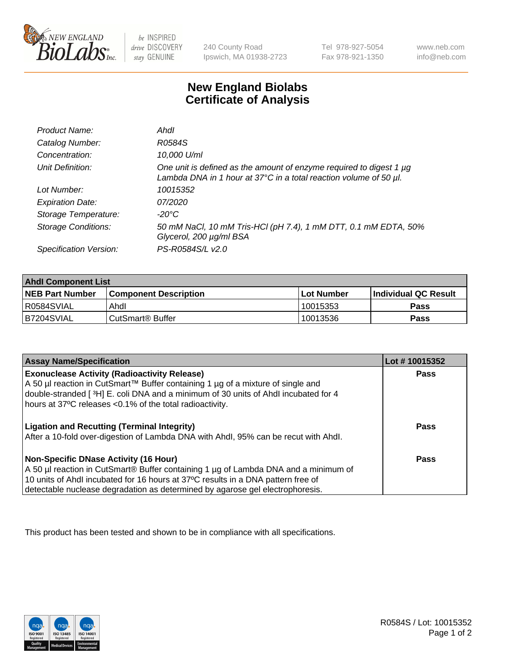

be INSPIRED drive DISCOVERY stay GENUINE

240 County Road Ipswich, MA 01938-2723 Tel 978-927-5054 Fax 978-921-1350

www.neb.com info@neb.com

## **New England Biolabs Certificate of Analysis**

| Product Name:              | Ahdl                                                                                                                                                         |
|----------------------------|--------------------------------------------------------------------------------------------------------------------------------------------------------------|
| Catalog Number:            | R0584S                                                                                                                                                       |
| Concentration:             | 10,000 U/ml                                                                                                                                                  |
| Unit Definition:           | One unit is defined as the amount of enzyme required to digest 1 $\mu$ g<br>Lambda DNA in 1 hour at $37^{\circ}$ C in a total reaction volume of 50 $\mu$ l. |
| Lot Number:                | 10015352                                                                                                                                                     |
| <b>Expiration Date:</b>    | 07/2020                                                                                                                                                      |
| Storage Temperature:       | -20°C                                                                                                                                                        |
| <b>Storage Conditions:</b> | 50 mM NaCl, 10 mM Tris-HCl (pH 7.4), 1 mM DTT, 0.1 mM EDTA, 50%<br>Glycerol, 200 µg/ml BSA                                                                   |
| Specification Version:     | PS-R0584S/L v2.0                                                                                                                                             |

| <b>Ahdl Component List</b> |                              |            |                             |  |
|----------------------------|------------------------------|------------|-----------------------------|--|
| <b>NEB Part Number</b>     | <b>Component Description</b> | Lot Number | <b>Individual QC Result</b> |  |
| R0584SVIAL                 | Ahdl                         | 10015353   | Pass                        |  |
| B7204SVIAL                 | CutSmart <sup>®</sup> Buffer | 10013536   | Pass                        |  |

| <b>Assay Name/Specification</b>                                                     | Lot #10015352 |
|-------------------------------------------------------------------------------------|---------------|
| <b>Exonuclease Activity (Radioactivity Release)</b>                                 | <b>Pass</b>   |
| A 50 µl reaction in CutSmart™ Buffer containing 1 µg of a mixture of single and     |               |
| double-stranded [3H] E. coli DNA and a minimum of 30 units of Ahdl incubated for 4  |               |
| hours at 37°C releases <0.1% of the total radioactivity.                            |               |
| <b>Ligation and Recutting (Terminal Integrity)</b>                                  | <b>Pass</b>   |
| After a 10-fold over-digestion of Lambda DNA with Ahdl, 95% can be recut with Ahdl. |               |
| Non-Specific DNase Activity (16 Hour)                                               | <b>Pass</b>   |
| A 50 µl reaction in CutSmart® Buffer containing 1 µg of Lambda DNA and a minimum of |               |
| 10 units of Ahdl incubated for 16 hours at 37°C results in a DNA pattern free of    |               |
| detectable nuclease degradation as determined by agarose gel electrophoresis.       |               |

This product has been tested and shown to be in compliance with all specifications.